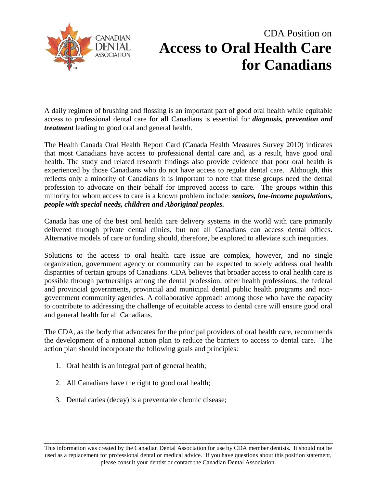

## CDA Position on **Access to Oral Health Care for Canadians**

A daily regimen of brushing and flossing is an important part of good oral health while equitable access to professional dental care for **all** Canadians is essential for *diagnosis, prevention and treatment* leading to good oral and general health.

The Health Canada Oral Health Report Card (Canada Health Measures Survey 2010) indicates that most Canadians have access to professional dental care and, as a result, have good oral health. The study and related research findings also provide evidence that poor oral health is experienced by those Canadians who do not have access to regular dental care. Although, this reflects only a minority of Canadians it is important to note that these groups need the dental profession to advocate on their behalf for improved access to care. The groups within this minority for whom access to care is a known problem include: *seniors, low-income populations, people with special needs, children and Aboriginal peoples.* 

Canada has one of the best oral health care delivery systems in the world with care primarily delivered through private dental clinics, but not all Canadians can access dental offices. Alternative models of care or funding should, therefore, be explored to alleviate such inequities.

Solutions to the access to oral health care issue are complex, however, and no single organization, government agency or community can be expected to solely address oral health disparities of certain groups of Canadians. CDA believes that broader access to oral health care is possible through partnerships among the dental profession, other health professions, the federal and provincial governments, provincial and municipal dental public health programs and nongovernment community agencies. A collaborative approach among those who have the capacity to contribute to addressing the challenge of equitable access to dental care will ensure good oral and general health for all Canadians.

The CDA, as the body that advocates for the principal providers of oral health care, recommends the development of a national action plan to reduce the barriers to access to dental care. The action plan should incorporate the following goals and principles:

- 1. Oral health is an integral part of general health;
- 2. All Canadians have the right to good oral health;
- 3. Dental caries (decay) is a preventable chronic disease;

This information was created by the Canadian Dental Association for use by CDA member dentists. It should not be used as a replacement for professional dental or medical advice. If you have questions about this position statement, please consult your dentist or contact the Canadian Dental Association.